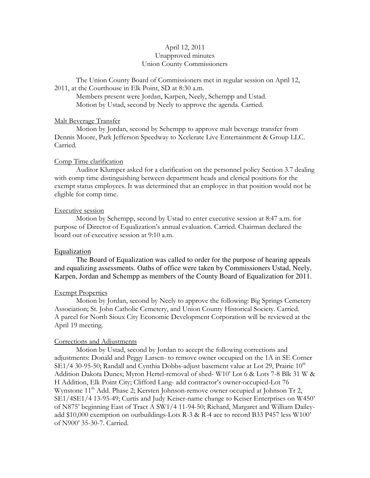## April 12, 2011 Unapproved minutes Union County Commissioners

The Union County Board of Commissioners met in regular session on April 12, 2011, at the Courthouse in Elk Point, SD at 8:30 a.m.

 Members present were Jordan, Karpen, Neely, Schempp and Ustad. Motion by Ustad, second by Neely to approve the agenda. Carried.

### Malt Beverage Transfer

 Motion by Jordan, second by Schempp to approve malt beverage transfer from Dennis Moore, Park Jefferson Speedway to Xcelerate Live Entertainment & Group LLC. Carried.

### Comp Time clarification

 Auditor Klumper asked for a clarification on the personnel policy Section 3.7 dealing with comp time distinguishing between department heads and clerical positions for the exempt status employees. It was determined that an employee in that position would not be eligible for comp time.

### Executive session

 Motion by Schempp, second by Ustad to enter executive session at 8:47 a.m. for purpose of Director of Equalization's annual evaluation. Carried. Chairman declared the board out of executive session at 9:10 a.m.

#### Equalization

 The Board of Equalization was called to order for the purpose of hearing appeals and equalizing assessments. Oaths of office were taken by Commissioners Ustad, Neely, Karpen, Jordan and Schempp as members of the County Board of Equalization for 2011.

#### Exempt Properties

 Motion by Jordan, second by Neely to approve the following: Big Springs Cemetery Association; St. John Catholic Cemetery, and Union County Historical Society. Carried. A parcel for North Sioux City Economic Development Corporation will be reviewed at the April 19 meeting.

### Corrections and Adjustments

 Motion by Ustad, second by Jordan to accept the following corrections and adjustments: Donald and Peggy Larsen- to remove owner occupied on the 1A in SE Corner  $SE1/4$  30-95-50; Randall and Cynthia Dobbs-adjust basement value at Lot 29, Prairie  $10^{th}$ Addition Dakota Dunes; Myron Hertel-removal of shed- W10' Lot 6 & Lots 7-8 Blk 31 W & H Addition, Elk Point City; Clifford Lang- add contractor's owner-occupied-Lot 76 Wynstone 11<sup>th</sup> Add. Phase 2; Kersten Johnson-remove owner occupied at Johnson Tr 2, SE1/4SE1/4 13-95-49; Curtis and Judy Keiser-name change to Keiser Enterprises on W450' of N875' beginning East of Tract A SW1/4 11-94-50; Richard, Margaret and William Daileyadd \$10,000 exemption on outbuildings-Lots R-3 & R-4 acc to record B33 P457 less W100' of N900' 35-30-7. Carried.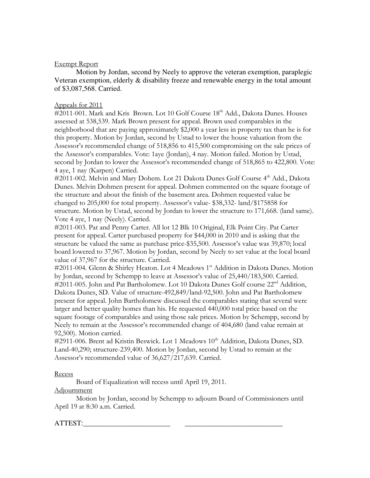## Exempt Report

Motion by Jordan, second by Neely to approve the veteran exemption, paraplegic Veteran exemption, elderly & disability freeze and renewable energy in the total amount of \$3,087,568. Carried.

# Appeals for 2011

#2011-001. Mark and Kris Brown. Lot 10 Golf Course 18<sup>th</sup> Add., Dakota Dunes. Houses assessed at 538,539. Mark Brown present for appeal. Brown used comparables in the neighborhood that are paying approximately \$2,000 a year less in property tax than he is for this property. Motion by Jordan, second by Ustad to lower the house valuation from the Assessor's recommended change of 518,856 to 415,500 compromising on the sale prices of the Assessor's comparables. Vote: 1aye (Jordan), 4 nay. Motion failed. Motion by Ustad, second by Jordan to lower the Assessor's recommended change of 518,865 to 422,800. Vote: 4 aye, 1 nay (Karpen) Carried.

#2011-002. Melvin and Mary Dohem. Lot 21 Dakota Dunes Golf Course 4<sup>th</sup> Add., Dakota Dunes. Melvin Dohmen present for appeal. Dohmen commented on the square footage of the structure and about the finish of the basement area. Dohmen requested value be changed to 205,000 for total property. Assessor's value- \$38,332- land/\$175858 for structure. Motion by Ustad, second by Jordan to lower the structure to 171,668. (land same). Vote 4 aye, 1 nay (Neely). Carried.

#2011-003. Pat and Penny Carter. All lot 12 Blk 10 Original, Elk Point City. Pat Carter present for appeal. Carter purchased property for \$44,000 in 2010 and is asking that the structure be valued the same as purchase price-\$35,500. Assessor's value was 39,870; local board lowered to 37,967. Motion by Jordan, second by Neely to set value at the local board value of 37,967 for the structure. Carried.

#2011-004. Glenn & Shirley Heaton. Lot 4 Meadows 1<sup>st</sup> Addition in Dakota Dunes. Motion by Jordan, second by Schempp to leave at Assessor's value of 25,440/183,500. Carried. #2011-005. John and Pat Bartholomew. Lot 10 Dakota Dunes Golf course 22<sup>nd</sup> Addition, Dakota Dunes, SD. Value of structure-492,849/land-92,500. John and Pat Bartholomew present for appeal. John Bartholomew discussed the comparables stating that several were larger and better quality homes than his. He requested 440,000 total price based on the square footage of comparables and using those sale prices. Motion by Schempp, second by Neely to remain at the Assessor's recommended change of 404,680 (land value remain at 92,500). Motion carried.

#2911-006. Brent ad Kristin Beswick. Lot 1 Meadows 10<sup>th</sup> Addition, Dakota Dunes, SD. Land-40,290; structure-239,400. Motion by Jordan, second by Ustad to remain at the Assessor's recommended value of 36,627/217,639. Carried.

## Recess

Board of Equalization will recess until April 19, 2011.

## Adjournment

 Motion by Jordan, second by Schempp to adjourn Board of Commissioners until April 19 at 8:30 a.m. Carried.

# $\operatorname{ATTEST:}$